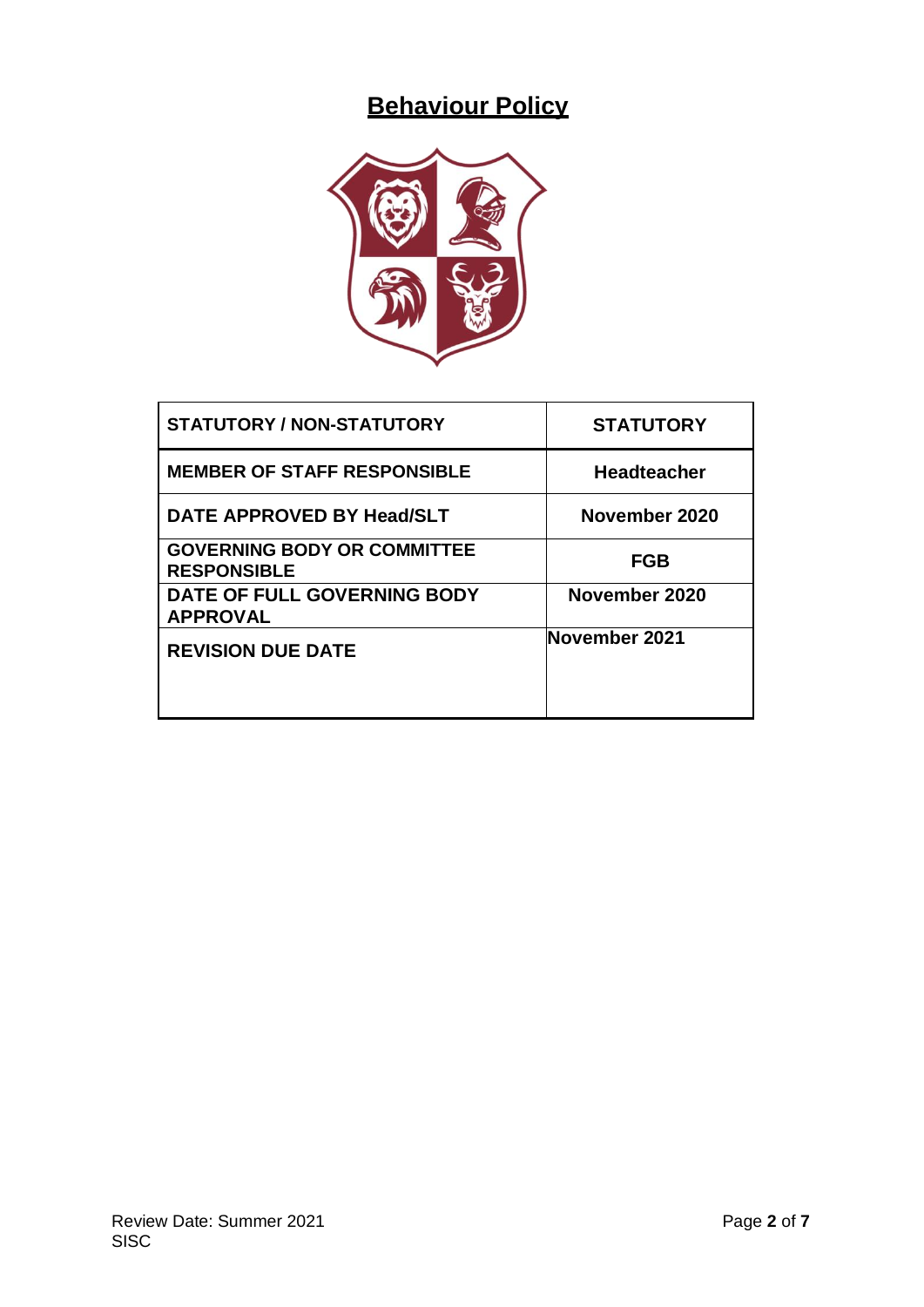# **Behaviour Policy**



| <b>STATUTORY / NON-STATUTORY</b>                         | <b>STATUTORY</b> |
|----------------------------------------------------------|------------------|
| <b>MEMBER OF STAFF RESPONSIBLE</b>                       | Headteacher      |
| DATE APPROVED BY Head/SLT                                | November 2020    |
| <b>GOVERNING BODY OR COMMITTEE</b><br><b>RESPONSIBLE</b> | <b>FGB</b>       |
| DATE OF FULL GOVERNING BODY<br><b>APPROVAL</b>           | November 2020    |
| <b>REVISION DUE DATE</b>                                 | November 2021    |
|                                                          |                  |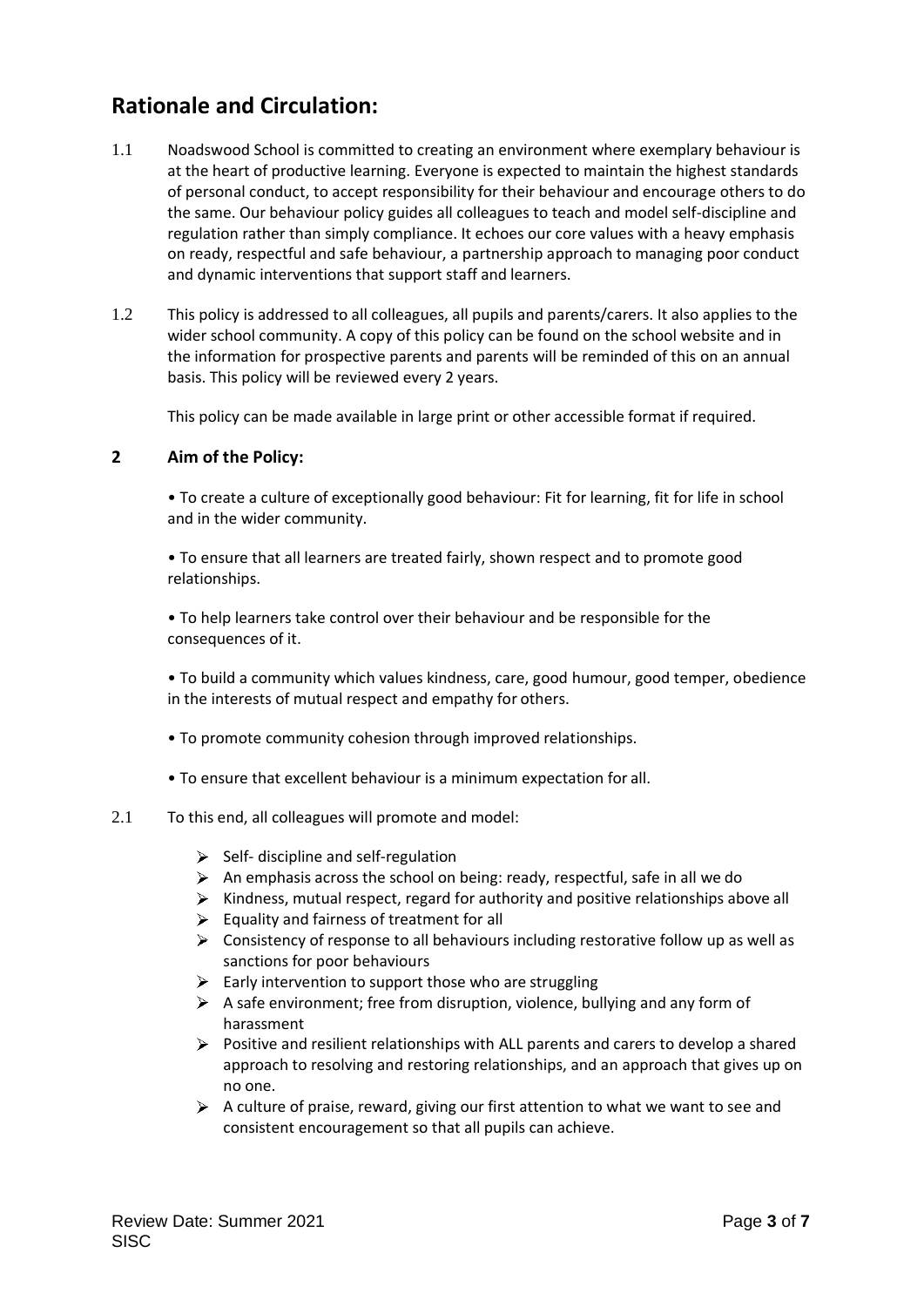# **Rationale and Circulation:**

- 1.1 Noadswood School is committed to creating an environment where exemplary behaviour is at the heart of productive learning. Everyone is expected to maintain the highest standards of personal conduct, to accept responsibility for their behaviour and encourage others to do the same. Our behaviour policy guides all colleagues to teach and model self-discipline and regulation rather than simply compliance. It echoes our core values with a heavy emphasis on ready, respectful and safe behaviour, a partnership approach to managing poor conduct and dynamic interventions that support staff and learners.
- 1.2 This policy is addressed to all colleagues, all pupils and parents/carers. It also applies to the wider school community. A copy of this policy can be found on the school website and in the information for prospective parents and parents will be reminded of this on an annual basis. This policy will be reviewed every 2 years.

This policy can be made available in large print or other accessible format if required.

# **2 Aim of the Policy:**

• To create a culture of exceptionally good behaviour: Fit for learning, fit for life in school and in the wider community.

• To ensure that all learners are treated fairly, shown respect and to promote good relationships.

• To help learners take control over their behaviour and be responsible for the consequences of it.

• To build a community which values kindness, care, good humour, good temper, obedience in the interests of mutual respect and empathy for others.

- To promote community cohesion through improved relationships.
- To ensure that excellent behaviour is a minimum expectation for all.

#### 2.1 To this end, all colleagues will promote and model:

- $\triangleright$  Self- discipline and self-regulation
- $\triangleright$  An emphasis across the school on being: ready, respectful, safe in all we do
- $\triangleright$  Kindness, mutual respect, regard for authority and positive relationships above all
- $\triangleright$  Equality and fairness of treatment for all
- Consistency of response to all behaviours including restorative follow up as well as sanctions for poor behaviours
- $\triangleright$  Early intervention to support those who are struggling
- $\triangleright$  A safe environment; free from disruption, violence, bullying and any form of harassment
- $\triangleright$  Positive and resilient relationships with ALL parents and carers to develop a shared approach to resolving and restoring relationships, and an approach that gives up on no one.
- $\triangleright$  A culture of praise, reward, giving our first attention to what we want to see and consistent encouragement so that all pupils can achieve.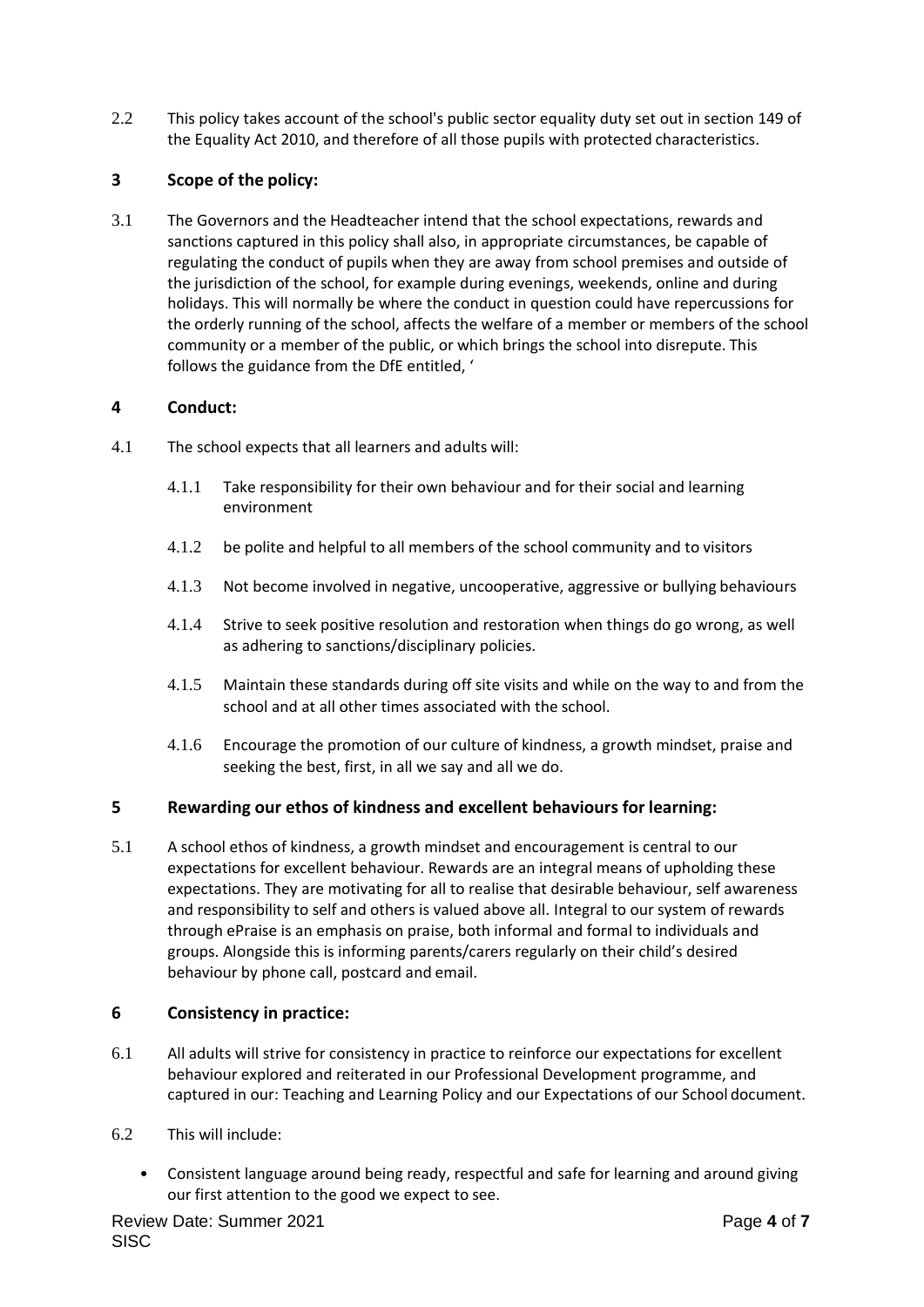2.2 This policy takes account of the school's public sector equality duty set out in section 149 of the Equality Act 2010, and therefore of all those pupils with protected characteristics.

# **3 Scope of the policy:**

<span id="page-2-0"></span>3.1 The Governors and the Headteacher intend that the school expectations, rewards and sanctions captured in this policy shall also, in appropriate circumstances, be capable of regulating the conduct of pupils when they are away from school premises and outside of the jurisdiction of the school, for example during evenings, weekends, online and during holidays. This will normally be where the conduct in question could have repercussions for the orderly running of the school, affects the welfare of a member or members of the school community or a member of the public, or which brings the school into disrepute. This follows the guidance from the DfE entitled, '

# **4 Conduct:**

- 4.1 The school expects that all learners and adults will:
	- 4.1.1 Take responsibility for their own behaviour and for their social and learning environment
	- 4.1.2 be polite and helpful to all members of the school community and to visitors
	- 4.1.3 Not become involved in negative, uncooperative, aggressive or bullying behaviours
	- 4.1.4 Strive to seek positive resolution and restoration when things do go wrong, as well as adhering to sanctions/disciplinary policies.
	- 4.1.5 Maintain these standards during off site visits and while on the way to and from the school and at all other times associated with the school.
	- 4.1.6 Encourage the promotion of our culture of kindness, a growth mindset, praise and seeking the best, first, in all we say and all we do.

# **5 Rewarding our ethos of kindness and excellent behaviours for learning:**

5.1 A school ethos of kindness, a growth mindset and encouragement is central to our expectations for excellent behaviour. Rewards are an integral means of upholding these expectations. They are motivating for all to realise that desirable behaviour, self awareness and responsibility to self and others is valued above all. Integral to our system of rewards through ePraise is an emphasis on praise, both informal and formal to individuals and groups. Alongside this is informing parents/carers regularly on their child's desired behaviour by phone call, postcard and email.

# **6 Consistency in practice:**

- 6.1 All adults will strive for consistency in practice to reinforce our expectations for excellent behaviour explored and reiterated in our Professional Development programme, and captured in our: Teaching and Learning Policy and our Expectations of our School document.
- 6.2 This will include:
	- Consistent language around being ready, respectful and safe for learning and around giving our first attention to the good we expect to see.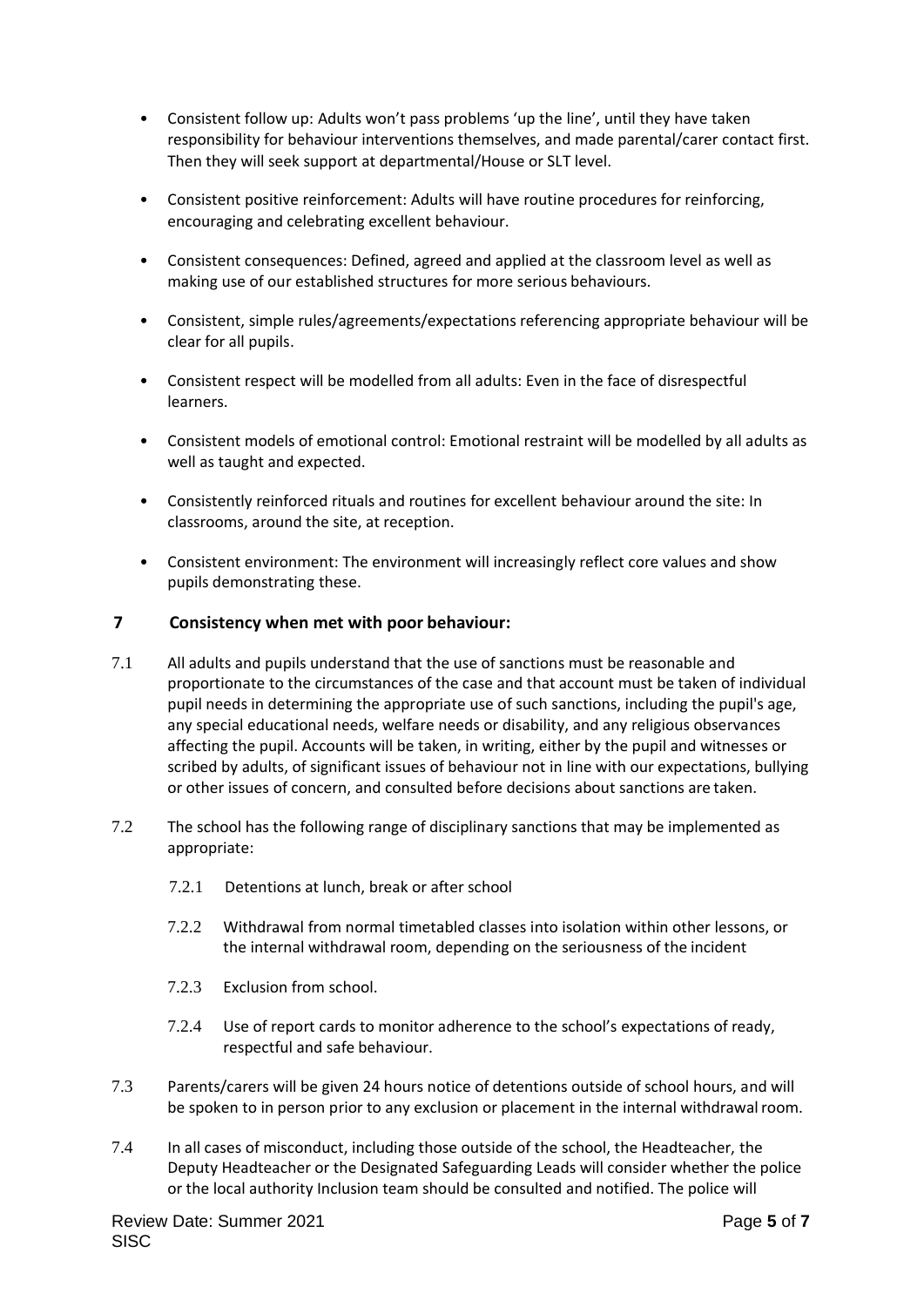- Consistent follow up: Adults won't pass problems 'up the line', until they have taken responsibility for behaviour interventions themselves, and made parental/carer contact first. Then they will seek support at departmental/House or SLT level.
- Consistent positive reinforcement: Adults will have routine procedures for reinforcing, encouraging and celebrating excellent behaviour.
- Consistent consequences: Defined, agreed and applied at the classroom level as well as making use of our established structures for more serious behaviours.
- Consistent, simple rules/agreements/expectations referencing appropriate behaviour will be clear for all pupils.
- Consistent respect will be modelled from all adults: Even in the face of disrespectful learners.
- Consistent models of emotional control: Emotional restraint will be modelled by all adults as well as taught and expected.
- Consistently reinforced rituals and routines for excellent behaviour around the site: In classrooms, around the site, at reception.
- Consistent environment: The environment will increasingly reflect core values and show pupils demonstrating these.

#### **7 Consistency when met with poor behaviour:**

- 7.1 All adults and pupils understand that the use of sanctions must be reasonable and proportionate to the circumstances of the case and that account must be taken of individual pupil needs in determining the appropriate use of such sanctions, including the pupil's age, any special educational needs, welfare needs or disability, and any religious observances affecting the pupil. Accounts will be taken, in writing, either by the pupil and witnesses or scribed by adults, of significant issues of behaviour not in line with our expectations, bullying or other issues of concern, and consulted before decisions about sanctions are taken.
- 7.2 The school has the following range of disciplinary sanctions that may be implemented as appropriate:
	- 7.2.1 Detentions at lunch, break or after school
	- 7.2.2 Withdrawal from normal timetabled classes into isolation within other lessons, or the internal withdrawal room, depending on the seriousness of the incident
	- 7.2.3 Exclusion from school.
	- 7.2.4 Use of report cards to monitor adherence to the school's expectations of ready, respectful and safe behaviour.
- 7.3 Parents/carers will be given 24 hours notice of detentions outside of school hours, and will be spoken to in person prior to any exclusion or placement in the internal withdrawal room.
- 7.4 In all cases of misconduct, including those outside of the school, the Headteacher, the Deputy Headteacher or the Designated Safeguarding Leads will consider whether the police or the local authority Inclusion team should be consulted and notified. The police will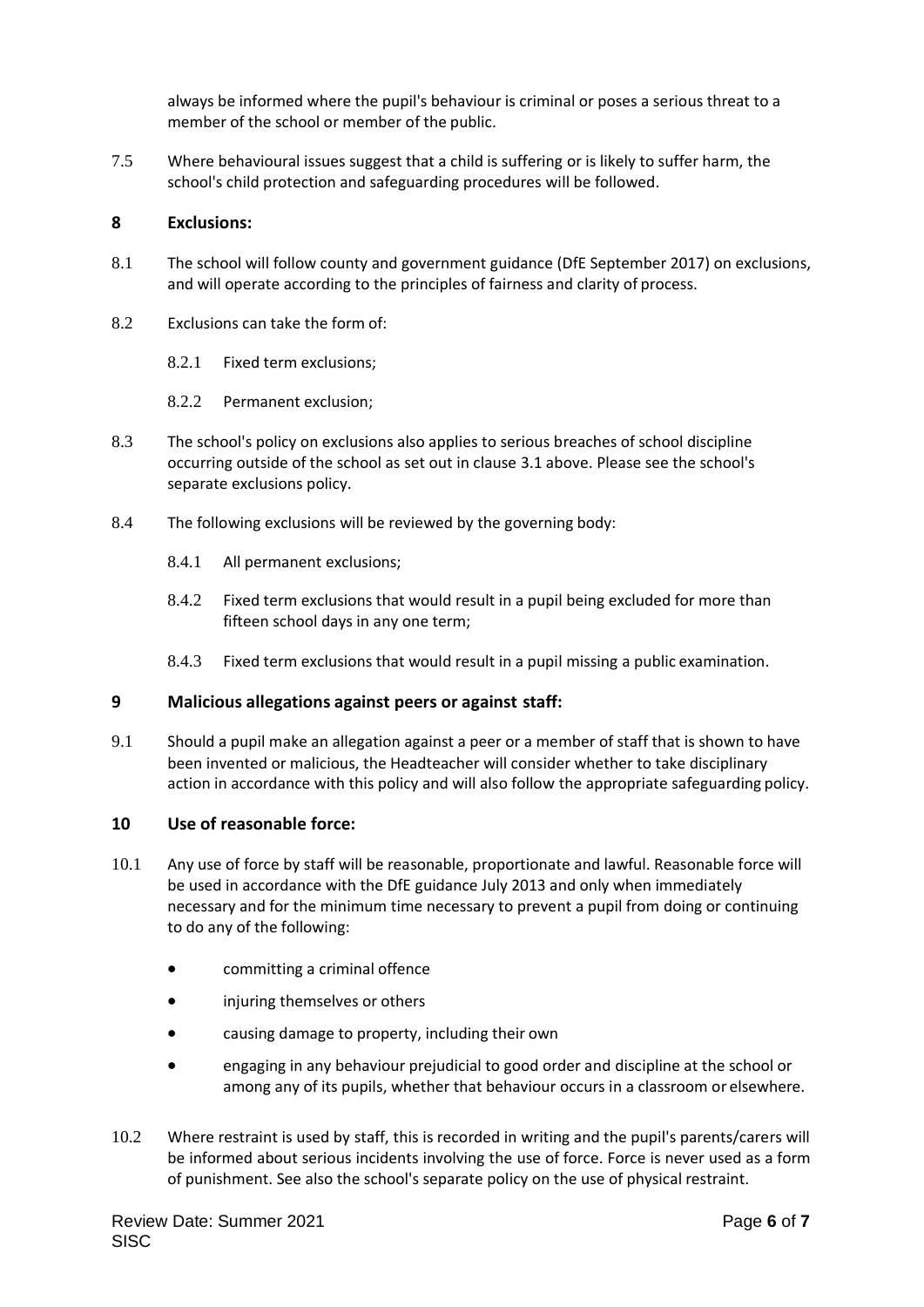always be informed where the pupil's behaviour is criminal or poses a serious threat to a member of the school or member of the public.

7.5 Where behavioural issues suggest that a child is suffering or is likely to suffer harm, the school's child protection and safeguarding procedures will be followed.

#### **8 Exclusions:**

- 8.1 The school will follow county and government guidance (DfE September 2017) on exclusions, and will operate according to the principles of fairness and clarity of process.
- 8.2 Exclusions can take the form of:
	- 8.2.1 Fixed term exclusions;
	- 8.2.2 Permanent exclusion;
- 8.3 The school's policy on exclusions also applies to serious breaches of school discipline occurring outside of the school as set out in clause [3.1 a](#page-2-0)bove. Please see the school's separate exclusions policy.
- 8.4 The following exclusions will be reviewed by the governing body:
	- 8.4.1 All permanent exclusions;
	- 8.4.2 Fixed term exclusions that would result in a pupil being excluded for more than fifteen school days in any one term;
	- 8.4.3 Fixed term exclusions that would result in a pupil missing a public examination.

#### **9 Malicious allegations against peers or against staff:**

9.1 Should a pupil make an allegation against a peer or a member of staff that is shown to have been invented or malicious, the Headteacher will consider whether to take disciplinary action in accordance with this policy and will also follow the appropriate safeguarding policy.

#### **10 Use of reasonable force:**

- 10.1 Any use of force by staff will be reasonable, proportionate and lawful. Reasonable force will be used in accordance with the DfE guidance July 2013 and only when immediately necessary and for the minimum time necessary to prevent a pupil from doing or continuing to do any of the following:
	- committing a criminal offence
	- injuring themselves or others
	- causing damage to property, including their own
	- engaging in any behaviour prejudicial to good order and discipline at the school or among any of its pupils, whether that behaviour occurs in a classroom or elsewhere.
- 10.2 Where restraint is used by staff, this is recorded in writing and the pupil's parents/carers will be informed about serious incidents involving the use of force. Force is never used as a form of punishment. See also the school's separate policy on the use of physical restraint.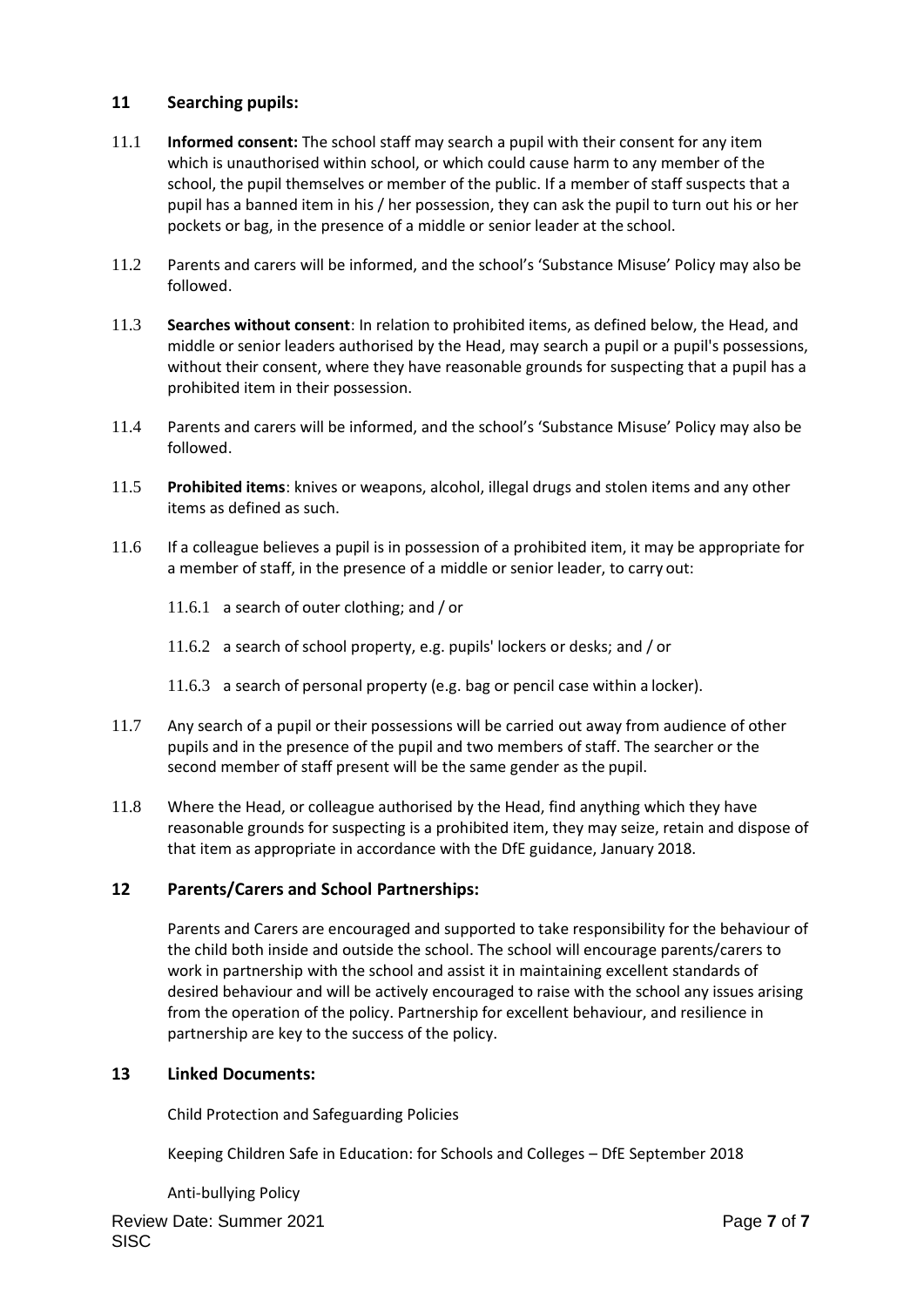# **11 Searching pupils:**

- 11.1 **Informed consent:** The school staff may search a pupil with their consent for any item which is unauthorised within school, or which could cause harm to any member of the school, the pupil themselves or member of the public. If a member of staff suspects that a pupil has a banned item in his / her possession, they can ask the pupil to turn out his or her pockets or bag, in the presence of a middle or senior leader at the school.
- 11.2 Parents and carers will be informed, and the school's 'Substance Misuse' Policy may also be followed.
- 11.3 **Searches without consent**: In relation to prohibited items, as defined below, the Head, and middle or senior leaders authorised by the Head, may search a pupil or a pupil's possessions, without their consent, where they have reasonable grounds for suspecting that a pupil has a prohibited item in their possession.
- 11.4 Parents and carers will be informed, and the school's 'Substance Misuse' Policy may also be followed.
- 11.5 **Prohibited items**: knives or weapons, alcohol, illegal drugs and stolen items and any other items as defined as such.
- 11.6 If a colleague believes a pupil is in possession of a prohibited item, it may be appropriate for a member of staff, in the presence of a middle or senior leader, to carry out:
	- 11.6.1 a search of outer clothing; and / or
	- 11.6.2 a search of school property, e.g. pupils' lockers or desks; and / or
	- 11.6.3 a search of personal property (e.g. bag or pencil case within a locker).
- 11.7 Any search of a pupil or their possessions will be carried out away from audience of other pupils and in the presence of the pupil and two members of staff. The searcher or the second member of staff present will be the same gender as the pupil.
- 11.8 Where the Head, or colleague authorised by the Head, find anything which they have reasonable grounds for suspecting is a prohibited item, they may seize, retain and dispose of that item as appropriate in accordance with the DfE guidance, January 2018.

# **12 Parents/Carers and School Partnerships:**

Parents and Carers are encouraged and supported to take responsibility for the behaviour of the child both inside and outside the school. The school will encourage parents/carers to work in partnership with the school and assist it in maintaining excellent standards of desired behaviour and will be actively encouraged to raise with the school any issues arising from the operation of the policy. Partnership for excellent behaviour, and resilience in partnership are key to the success of the policy.

#### **13 Linked Documents:**

Child Protection and Safeguarding Policies

Keeping Children Safe in Education: for Schools and Colleges – DfE September 2018

Anti-bullying Policy